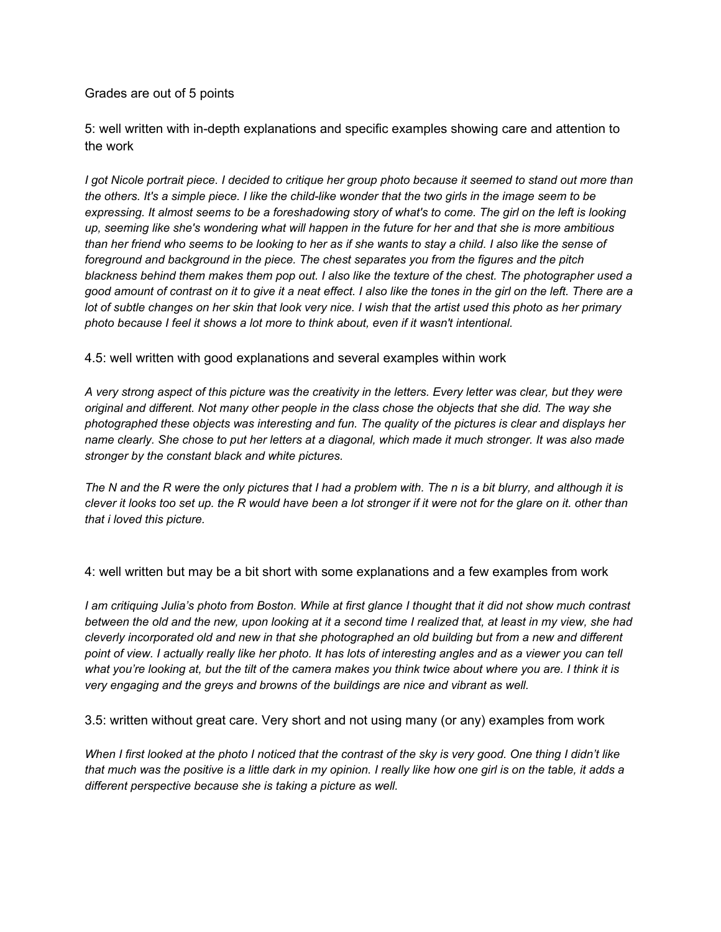## Grades are out of 5 points

5: well written with in-depth explanations and specific examples showing care and attention to the work

I got Nicole portrait piece. I decided to critique her group photo because it seemed to stand out more than the others. It's a simple piece. I like the child-like wonder that the two girls in the image seem to be expressing. It almost seems to be a foreshadowing story of what's to come. The girl on the left is looking up, seeming like she's wondering what will happen in the future for her and that she is more ambitious than her friend who seems to be looking to her as if she wants to stay a child. I also like the sense of *foreground and background in the piece. The chest separates you from the figures and the pitch* blackness behind them makes them pop out. I also like the texture of the chest. The photographer used a good amount of contrast on it to give it a neat effect. I also like the tones in the girl on the left. There are a lot of subtle changes on her skin that look very nice. I wish that the artist used this photo as her primary *photo because I feel it shows a lot more to think about, even if it wasn't intentional.*

## 4.5: well written with good explanations and several examples within work

A very strong aspect of this picture was the creativity in the letters. Every letter was clear, but they were original and different. Not many other people in the class chose the objects that she did. The way she *photographed these objects was interesting and fun. The quality of the pictures is clear and displays her* name clearly. She chose to put her letters at a diagonal, which made it much stronger. It was also made *stronger by the constant black and white pictures.*

The N and the R were the only pictures that I had a problem with. The n is a bit blurry, and although it is clever it looks too set up. the R would have been a lot stronger if it were not for the glare on it. other than *that i loved this picture.*

## 4: well written but may be a bit short with some explanations and a few examples from work

I am critiquing Julia's photo from Boston. While at first glance I thought that it did not show much contrast between the old and the new, upon looking at it a second time I realized that, at least in my view, she had cleverly incorporated old and new in that she photographed an old building but from a new and different point of view. I actually really like her photo. It has lots of interesting angles and as a viewer you can tell what you're looking at, but the tilt of the camera makes you think twice about where you are. I think it is *very engaging and the greys and browns of the buildings are nice and vibrant as well.*

3.5: written without great care. Very short and not using many (or any) examples from work

When I first looked at the photo I noticed that the contrast of the sky is very good. One thing I didn't like that much was the positive is a little dark in my opinion. I really like how one girl is on the table, it adds a *different perspective because she is taking a picture as well.*